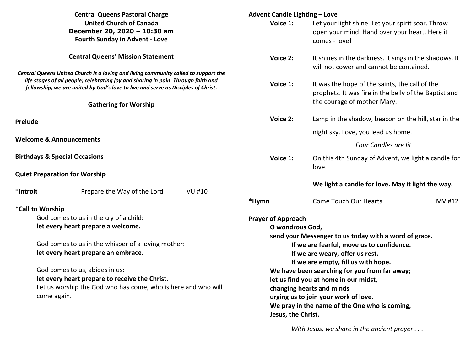| <b>Central Queens Pastoral Charge</b>                                                                                                                            |                                                                                                                                                                          |              | <b>Advent Candle Lighting - Love</b>                                                                                                                                                               |                                                                                      |        |  |  |                                     |  |                    |                                               |  |  |
|------------------------------------------------------------------------------------------------------------------------------------------------------------------|--------------------------------------------------------------------------------------------------------------------------------------------------------------------------|--------------|----------------------------------------------------------------------------------------------------------------------------------------------------------------------------------------------------|--------------------------------------------------------------------------------------|--------|--|--|-------------------------------------|--|--------------------|-----------------------------------------------|--|--|
|                                                                                                                                                                  | <b>United Church of Canada</b>                                                                                                                                           |              | Voice 1:                                                                                                                                                                                           | Let your light shine. Let your spirit soar. Throw                                    |        |  |  |                                     |  |                    |                                               |  |  |
|                                                                                                                                                                  | December 20, 2020 - 10:30 am<br><b>Fourth Sunday in Advent - Love</b>                                                                                                    |              |                                                                                                                                                                                                    | open your mind. Hand over your heart. Here it                                        |        |  |  |                                     |  |                    |                                               |  |  |
|                                                                                                                                                                  |                                                                                                                                                                          |              |                                                                                                                                                                                                    | comes - love!                                                                        |        |  |  |                                     |  |                    |                                               |  |  |
|                                                                                                                                                                  | <b>Central Queens' Mission Statement</b>                                                                                                                                 |              | Voice 2:                                                                                                                                                                                           | It shines in the darkness. It sings in the shadows. It                               |        |  |  |                                     |  |                    |                                               |  |  |
|                                                                                                                                                                  |                                                                                                                                                                          |              |                                                                                                                                                                                                    | will not cower and cannot be contained.                                              |        |  |  |                                     |  |                    |                                               |  |  |
|                                                                                                                                                                  | Central Queens United Church is a loving and living community called to support the<br>life stages of all people; celebrating joy and sharing in pain. Through faith and |              |                                                                                                                                                                                                    |                                                                                      |        |  |  |                                     |  |                    |                                               |  |  |
| fellowship, we are united by God's love to live and serve as Disciples of Christ.                                                                                |                                                                                                                                                                          |              | Voice 1:                                                                                                                                                                                           | It was the hope of the saints, the call of the                                       |        |  |  |                                     |  |                    |                                               |  |  |
|                                                                                                                                                                  |                                                                                                                                                                          |              |                                                                                                                                                                                                    | prophets. It was fire in the belly of the Baptist and<br>the courage of mother Mary. |        |  |  |                                     |  |                    |                                               |  |  |
|                                                                                                                                                                  | <b>Gathering for Worship</b>                                                                                                                                             |              |                                                                                                                                                                                                    |                                                                                      |        |  |  |                                     |  |                    |                                               |  |  |
| Prelude                                                                                                                                                          |                                                                                                                                                                          |              | Voice 2:                                                                                                                                                                                           | Lamp in the shadow, beacon on the hill, star in the                                  |        |  |  |                                     |  |                    |                                               |  |  |
| <b>Welcome &amp; Announcements</b>                                                                                                                               |                                                                                                                                                                          |              |                                                                                                                                                                                                    | night sky. Love, you lead us home.                                                   |        |  |  |                                     |  |                    |                                               |  |  |
|                                                                                                                                                                  |                                                                                                                                                                          |              | Four Candles are lit                                                                                                                                                                               |                                                                                      |        |  |  |                                     |  |                    |                                               |  |  |
| <b>Birthdays &amp; Special Occasions</b>                                                                                                                         |                                                                                                                                                                          |              | Voice 1:                                                                                                                                                                                           | On this 4th Sunday of Advent, we light a candle for                                  |        |  |  |                                     |  |                    |                                               |  |  |
|                                                                                                                                                                  | <b>Quiet Preparation for Worship</b>                                                                                                                                     |              |                                                                                                                                                                                                    | love.                                                                                |        |  |  |                                     |  |                    |                                               |  |  |
|                                                                                                                                                                  |                                                                                                                                                                          |              |                                                                                                                                                                                                    | We light a candle for love. May it light the way.                                    |        |  |  |                                     |  |                    |                                               |  |  |
| *Introit                                                                                                                                                         | Prepare the Way of the Lord                                                                                                                                              | <b>VU#10</b> |                                                                                                                                                                                                    |                                                                                      |        |  |  |                                     |  |                    |                                               |  |  |
|                                                                                                                                                                  |                                                                                                                                                                          |              | *Hymn                                                                                                                                                                                              | <b>Come Touch Our Hearts</b>                                                         | MV #12 |  |  |                                     |  |                    |                                               |  |  |
|                                                                                                                                                                  | *Call to Worship                                                                                                                                                         |              |                                                                                                                                                                                                    |                                                                                      |        |  |  |                                     |  |                    |                                               |  |  |
| God comes to us in the cry of a child:                                                                                                                           |                                                                                                                                                                          |              | <b>Prayer of Approach</b>                                                                                                                                                                          |                                                                                      |        |  |  |                                     |  |                    |                                               |  |  |
|                                                                                                                                                                  | let every heart prepare a welcome.                                                                                                                                       |              | O wondrous God,                                                                                                                                                                                    |                                                                                      |        |  |  |                                     |  |                    |                                               |  |  |
| God comes to us in the whisper of a loving mother:                                                                                                               |                                                                                                                                                                          |              | send your Messenger to us today with a word of grace.<br>If we are fearful, move us to confidence.                                                                                                 |                                                                                      |        |  |  |                                     |  |                    |                                               |  |  |
|                                                                                                                                                                  |                                                                                                                                                                          |              |                                                                                                                                                                                                    |                                                                                      |        |  |  | let every heart prepare an embrace. |  |                    | If we are weary, offer us rest.               |  |  |
| God comes to us, abides in us:<br>let every heart prepare to receive the Christ.<br>Let us worship the God who has come, who is here and who will<br>come again. |                                                                                                                                                                          |              | If we are empty, fill us with hope.<br>We have been searching for you from far away;<br>let us find you at home in our midst,<br>changing hearts and minds<br>urging us to join your work of love. |                                                                                      |        |  |  |                                     |  |                    |                                               |  |  |
|                                                                                                                                                                  |                                                                                                                                                                          |              |                                                                                                                                                                                                    |                                                                                      |        |  |  |                                     |  |                    | We pray in the name of the One who is coming, |  |  |
|                                                                                                                                                                  |                                                                                                                                                                          |              |                                                                                                                                                                                                    |                                                                                      |        |  |  |                                     |  | Jesus, the Christ. |                                               |  |  |
|                                                                                                                                                                  |                                                                                                                                                                          |              |                                                                                                                                                                                                    |                                                                                      |        |  |  |                                     |  |                    |                                               |  |  |

*With Jesus, we share in the ancient prayer . . .*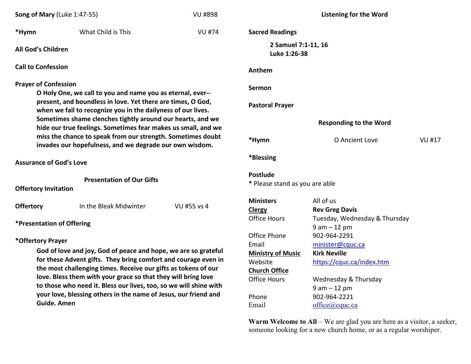| Song of Mary (Luke 1:47-55)                                                                                                                                                                                                                                                                                                                                                                                                                     |                                                                                                                             | <b>VU #898</b> | <b>Listening for the Word</b>                                                                                                 |                                                                                                                                                                  |               |  |
|-------------------------------------------------------------------------------------------------------------------------------------------------------------------------------------------------------------------------------------------------------------------------------------------------------------------------------------------------------------------------------------------------------------------------------------------------|-----------------------------------------------------------------------------------------------------------------------------|----------------|-------------------------------------------------------------------------------------------------------------------------------|------------------------------------------------------------------------------------------------------------------------------------------------------------------|---------------|--|
| *Hymn                                                                                                                                                                                                                                                                                                                                                                                                                                           | What Child is This                                                                                                          | <b>VU #74</b>  | <b>Sacred Readings</b>                                                                                                        |                                                                                                                                                                  |               |  |
| All God's Children                                                                                                                                                                                                                                                                                                                                                                                                                              |                                                                                                                             |                | 2 Samuel 7:1-11, 16<br>Luke 1:26-38                                                                                           |                                                                                                                                                                  |               |  |
| <b>Call to Confession</b>                                                                                                                                                                                                                                                                                                                                                                                                                       |                                                                                                                             |                | Anthem                                                                                                                        |                                                                                                                                                                  |               |  |
| <b>Prayer of Confession</b>                                                                                                                                                                                                                                                                                                                                                                                                                     | O Holy One, we call to you and name you as eternal, ever--                                                                  |                | Sermon                                                                                                                        |                                                                                                                                                                  |               |  |
|                                                                                                                                                                                                                                                                                                                                                                                                                                                 | present, and boundless in love. Yet there are times, O God,<br>when we fail to recognize you in the dailyness of our lives. |                | <b>Pastoral Prayer</b>                                                                                                        |                                                                                                                                                                  |               |  |
| Sometimes shame clenches tightly around our hearts, and we<br>hide our true feelings. Sometimes fear makes us small, and we                                                                                                                                                                                                                                                                                                                     |                                                                                                                             |                | <b>Responding to the Word</b>                                                                                                 |                                                                                                                                                                  |               |  |
|                                                                                                                                                                                                                                                                                                                                                                                                                                                 | miss the chance to speak from our strength. Sometimes doubt<br>invades our hopefulness, and we degrade our own wisdom.      |                | *Hymn                                                                                                                         | O Ancient Love                                                                                                                                                   | <b>VU #17</b> |  |
| <b>Assurance of God's Love</b>                                                                                                                                                                                                                                                                                                                                                                                                                  |                                                                                                                             |                | *Blessing                                                                                                                     |                                                                                                                                                                  |               |  |
| <b>Presentation of Our Gifts</b><br><b>Offertory Invitation</b>                                                                                                                                                                                                                                                                                                                                                                                 |                                                                                                                             |                | <b>Postlude</b><br>* Please stand as you are able                                                                             |                                                                                                                                                                  |               |  |
| <b>Offertory</b>                                                                                                                                                                                                                                                                                                                                                                                                                                | In the Bleak Midwinter                                                                                                      | VU #55 vs 4    | <b>Ministers</b><br><b>Clergy</b>                                                                                             | All of us<br><b>Rev Greg Davis</b>                                                                                                                               |               |  |
| <b>*Presentation of Offering</b>                                                                                                                                                                                                                                                                                                                                                                                                                |                                                                                                                             |                | <b>Office Hours</b>                                                                                                           | Tuesday, Wednesday & Thursday<br>$9 am - 12 pm$                                                                                                                  |               |  |
| *Offertory Prayer<br>God of love and joy, God of peace and hope, we are so grateful<br>for these Advent gifts. They bring comfort and courage even in<br>the most challenging times. Receive our gifts as tokens of our<br>love. Bless them with your grace so that they will bring love<br>to those who need it. Bless our lives, too, so we will shine with<br>your love, blessing others in the name of Jesus, our friend and<br>Guide. Amen |                                                                                                                             |                | Office Phone<br>Email<br><b>Ministry of Music</b><br>Website<br><b>Church Office</b><br><b>Office Hours</b><br>Phone<br>Email | 902-964-2291<br>minister@cquc.ca<br><b>Kirk Neville</b><br>https://cquc.ca/index.htm<br>Wednesday & Thursday<br>$9 am - 12 pm$<br>902-964-2221<br>office@cquc.ca |               |  |

**Warm Welcome to All** – We are glad you are here as a visitor, a seeker, someone looking for a new church home, or as a regular worshiper.